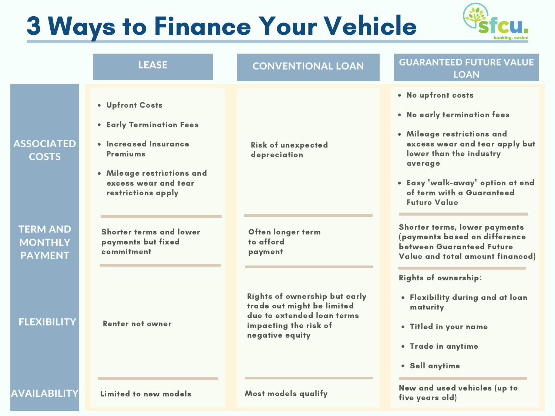## 3 Ways to Finance Your Vehicle



five years old)

|                                                     | <b>LEASE</b>                                                                                                                                                        | <b>CONVENTIONAL LOAN</b>                                                                                                                     | <b>GUARANTEED FUTURE VALUE</b><br><b>LOAN</b>                                                                                                                                                                                                   |
|-----------------------------------------------------|---------------------------------------------------------------------------------------------------------------------------------------------------------------------|----------------------------------------------------------------------------------------------------------------------------------------------|-------------------------------------------------------------------------------------------------------------------------------------------------------------------------------------------------------------------------------------------------|
| <b>ASSOCIATED</b><br><b>COSTS</b>                   | • Upfront Costs<br>• Early Termination Fees<br>· Increased Insurance<br><b>Premiums</b><br>• Mileage restrictions and<br>excess wear and tear<br>restrictions apply | <b>Risk of unexpected</b><br>depreciation                                                                                                    | • No upfront costs<br>• No early termination fees<br>• Mileage restrictions and<br>excess wear and tear apply but<br>lower than the industry<br>average<br>• Easy "walk-away" option at end<br>of term with a Guaranteed<br><b>Future Value</b> |
| <b>TERM AND</b><br><b>MONTHLY</b><br><b>PAYMENT</b> | <b>Shorter terms and lower</b><br>payments but fixed<br>commitment                                                                                                  | Often longer term<br>to afford<br>payment                                                                                                    | Shorter terms, lower payments<br>(payments based on difference<br><b>between Guaranteed Future</b><br>Value and total amount financed)                                                                                                          |
| <b>FLEXIBILITY</b>                                  | <b>Renter not owner</b>                                                                                                                                             | <b>Rights of ownership but early</b><br>trade out might be limited<br>due to extended loan terms<br>impacting the risk of<br>negative equity | <b>Rights of ownership:</b><br>• Flexibility during and at loan<br>maturity<br>. Titled in your name<br>• Trade in anytime<br>· Sell anytime                                                                                                    |
| <b>AVAILABILITY</b>                                 | Limited to new models                                                                                                                                               | <b>Most models qualify</b>                                                                                                                   | New and used vehicles (up to<br>19. 1 . IV                                                                                                                                                                                                      |